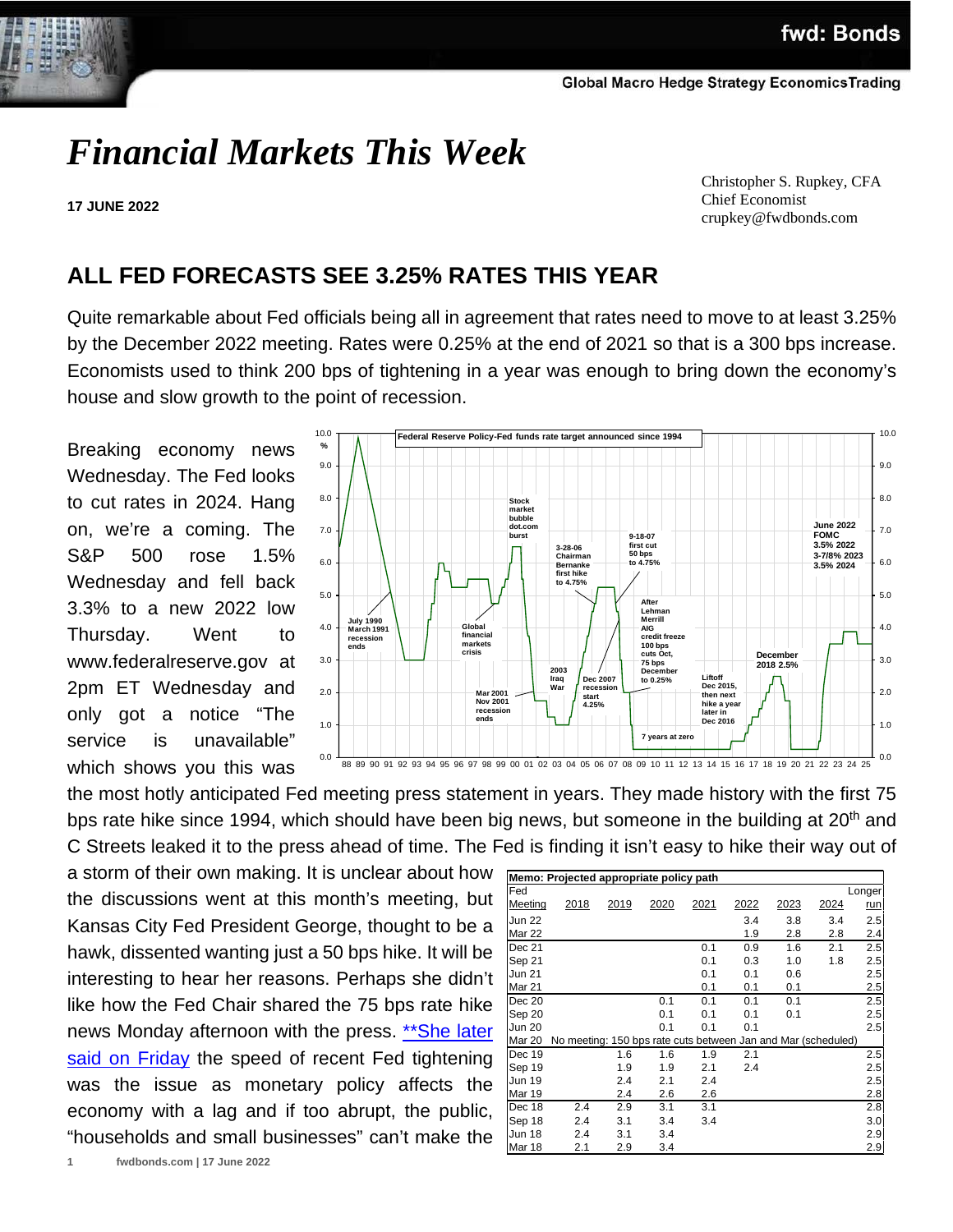# *Financial Markets This Week*

**17 JUNE 2022**

 Christopher S. Rupkey, CFA Chief Economist crupkey@fwdbonds.com

## **ALL FED FORECASTS SEE 3.25% RATES THIS YEAR**

Quite remarkable about Fed officials being all in agreement that rates need to move to at least 3.25% by the December 2022 meeting. Rates were 0.25% at the end of 2021 so that is a 300 bps increase. Economists used to think 200 bps of tightening in a year was enough to bring down the economy's house and slow growth to the point of recession.

Breaking economy news Wednesday. The Fed looks to cut rates in 2024. Hang on, we're a coming. The S&P 500 rose 1.5% Wednesday and fell back 3.3% to a new 2022 low Thursday. Went to [www.federalreserve.gov](http://www.federalreserve.gov/) at 2pm ET Wednesday and only got a notice "The service is unavailable" which shows you this was



the most hotly anticipated Fed meeting press statement in years. They made history with the first 75 bps rate hike since 1994, which should have been big news, but someone in the building at 20<sup>th</sup> and C Streets leaked it to the press ahead of time. The Fed is finding it isn't easy to hike their way out of

a storm of their own making. It is unclear about how the discussions went at this month's meeting, but Kansas City Fed President George, thought to be a hawk, dissented wanting just a 50 bps hike. It will be interesting to hear her reasons. Perhaps she didn't like how the Fed Chair shared the 75 bps rate hike news Monday afternoon with the press. \*\* She later [said on Friday](https://www.kansascityfed.org/News/documents/8855/George-Statement-FOMC-06-17-2022.pdf) the speed of recent Fed tightening was the issue as monetary policy affects the economy with a lag and if too abrupt, the public, "households and small businesses" can't make the

| Memo: Projected appropriate policy path |                                                               |      |      |      |      |      |      |            |  |
|-----------------------------------------|---------------------------------------------------------------|------|------|------|------|------|------|------------|--|
| Fed                                     |                                                               |      |      |      |      |      |      | Longer     |  |
| Meeting                                 | 2018                                                          | 2019 | 2020 | 2021 | 2022 | 2023 | 2024 | <u>run</u> |  |
| <b>Jun 22</b>                           |                                                               |      |      |      | 3.4  | 3.8  | 3.4  | 2.5        |  |
| Mar 22                                  |                                                               |      |      |      | 1.9  | 2.8  | 2.8  | 2.4        |  |
| Dec 21                                  |                                                               |      |      | 0.1  | 0.9  | 1.6  | 2.1  | 2.5        |  |
| Sep 21                                  |                                                               |      |      | 0.1  | 0.3  | 1.0  | 1.8  | 2.5        |  |
| <b>Jun 21</b>                           |                                                               |      |      | 0.1  | 0.1  | 0.6  |      | 2.5        |  |
| Mar 21                                  |                                                               |      |      | 0.1  | 0.1  | 0.1  |      | 2.5        |  |
| Dec 20                                  |                                                               |      | 0.1  | 0.1  | 0.1  | 0.1  |      | 2.5        |  |
| Sep 20                                  |                                                               |      | 0.1  | 0.1  | 0.1  | 0.1  |      | 2.5        |  |
| <b>Jun 20</b>                           |                                                               |      | 0.1  | 0.1  | 0.1  |      |      | 2.5        |  |
| Mar 20                                  | No meeting: 150 bps rate cuts between Jan and Mar (scheduled) |      |      |      |      |      |      |            |  |
| Dec 19                                  |                                                               | 1.6  | 1.6  | 1.9  | 2.1  |      |      | 2.5        |  |
| Sep 19                                  |                                                               | 1.9  | 1.9  | 2.1  | 2.4  |      |      | 2.5        |  |
| Jun 19                                  |                                                               | 2.4  | 2.1  | 2.4  |      |      |      | 2.5        |  |
| <b>Mar 19</b>                           |                                                               | 2.4  | 2.6  | 2.6  |      |      |      | 2.8        |  |
| Dec 18                                  | 2.4                                                           | 2.9  | 3.1  | 3.1  |      |      |      | 2.8        |  |
| Sep 18                                  | 2.4                                                           | 3.1  | 3.4  | 3.4  |      |      |      | 3.0        |  |
| Jun 18                                  | 2.4                                                           | 3.1  | 3.4  |      |      |      |      | 2.9        |  |
| Mar 18                                  | 2.1                                                           | 2.9  | 3.4  |      |      |      |      | 2.9        |  |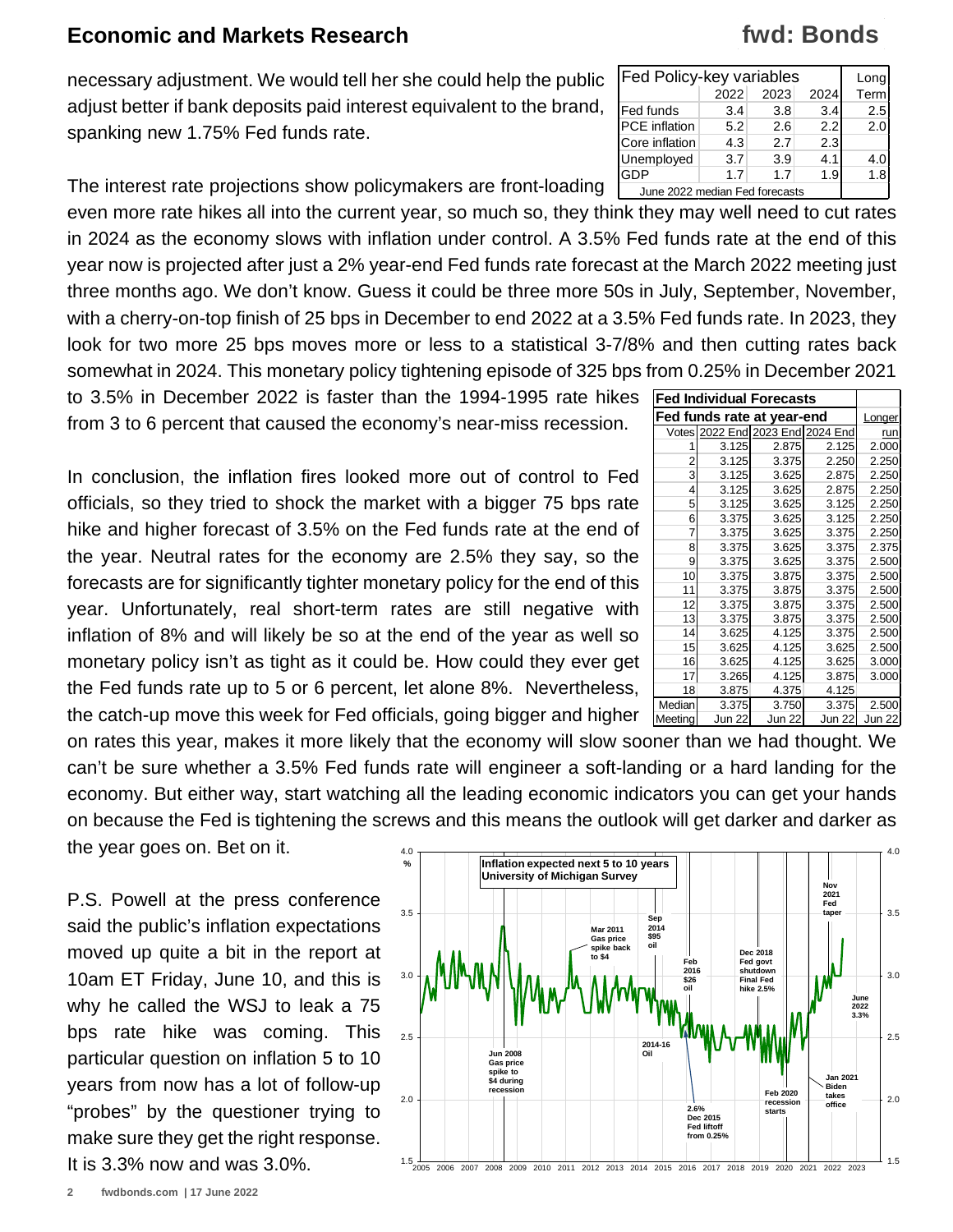necessary adjustment. We would tell her she could help the public adjust better if bank deposits paid interest equivalent to the brand, spanking new 1.75% Fed funds rate.

The interest rate projections show policymakers are front-loading even more rate hikes all into the current year, so much so, they think they may well need to cut rates in 2024 as the economy slows with inflation under control. A 3.5% Fed funds rate at the end of this year now is projected after just a 2% year-end Fed funds rate forecast at the March 2022 meeting just three months ago. We don't know. Guess it could be three more 50s in July, September, November, with a cherry-on-top finish of 25 bps in December to end 2022 at a 3.5% Fed funds rate. In 2023, they look for two more 25 bps moves more or less to a statistical 3-7/8% and then cutting rates back somewhat in 2024. This monetary policy tightening episode of 325 bps from 0.25% in December 2021 June 2022 median Fed forecasts

to 3.5% in December 2022 is faster than the 1994-1995 rate hikes **Fed Individual Forecasts**  from 3 to 6 percent that caused the economy's near-miss recession.

In conclusion, the inflation fires looked more out of control to Fed officials, so they tried to shock the market with a bigger 75 bps rate hike and higher forecast of 3.5% on the Fed funds rate at the end of the year. Neutral rates for the economy are 2.5% they say, so the forecasts are for significantly tighter monetary policy for the end of this year. Unfortunately, real short-term rates are still negative with inflation of 8% and will likely be so at the end of the year as well so monetary policy isn't as tight as it could be. How could they ever get the Fed funds rate up to 5 or 6 percent, let alone 8%. Nevertheless, the catch-up move this week for Fed officials, going bigger and higher

on rates this year, makes it more likely that the economy will slow sooner than we had thought. We can't be sure whether a 3.5% Fed funds rate will engineer a soft-landing or a hard landing for the economy. But either way, start watching all the leading economic indicators you can get your hands on because the Fed is tightening the screws and this means the outlook will get darker and darker as the year goes on. Bet on it.

P.S. Powell at the press conference said the public's inflation expectations moved up quite a bit in the report at 10am ET Friday, June 10, and this is why he called the WSJ to leak a 75 bps rate hike was coming. This particular question on inflation 5 to 10 years from now has a lot of follow-up "probes" by the questioner trying to make sure they get the right response. It is 3.3% now and was 3.0%.



| <b>Fed Policy-key variables</b> |      | Long |     |     |
|---------------------------------|------|------|-----|-----|
|                                 | Term |      |     |     |
| <b>Fed funds</b>                | 3.4  | 3.8  | 3.4 | 2.5 |
| PCE inflation                   | 5.2  | 2.6  | 2.2 | 2.0 |
| Core inflation                  | 4.3  | 2.7  | 2.3 |     |
| Unemployed                      | 3.7  | 3.9  | 4.1 | 4.0 |
| GDP                             | 1.7  | 1.7  | 1.9 | 1.8 |
| lung 2022 modian Ead forgasete  |      |      |     |     |

**fwd: Bonds**

| Fed funds rate at year-end | Longer        |                   |               |        |
|----------------------------|---------------|-------------------|---------------|--------|
| Votes                      |               | 2022 End 2023 End | 2024 End      | run    |
| 1                          | 3.125         | 2.875             | 2.125         | 2.000  |
| 2                          | 3.125         | 3.375             | 2.250         | 2.250  |
| 3                          | 3.125         | 3.625             | 2.875         | 2.250  |
| 4                          | 3.125         | 3.625             | 2.875         | 2.250  |
| 5                          | 3.125         | 3.625             | 3.125         | 2.250  |
| 6                          | 3.375         | 3.625             | 3.125         | 2.250  |
| 7                          | 3.375         | 3.625             | 3.375         | 2.250  |
| 8                          | 3.375         | 3.625             | 3.375         | 2.375  |
| 9                          | 3.375         | 3.625             | 3.375         | 2.500  |
| 10                         | 3.375         | 3.875             | 3.375         | 2.500  |
| 11                         | 3.375         | 3.875             | 3.375         | 2.500  |
| 12                         | 3.375         | 3.875             | 3.375         | 2.500  |
| 13                         | 3.375         | 3.875             | 3.375         | 2.500  |
| 14                         | 3.625         | 4.125             | 3.375         | 2.500  |
| 15                         | 3.625         | 4.125             | 3.625         | 2.500  |
| 16                         | 3.625         | 4.125             | 3.625         | 3.000  |
| 17                         | 3.265         | 4.125             | 3.875         | 3.000  |
| 18                         | 3.875         | 4.375             | 4.125         |        |
| Median                     | 3.375         | 3.750             | 3.375         | 2.500  |
| Meeting                    | <b>Jun 22</b> | <b>Jun 22</b>     | <b>Jun 22</b> | Jun 22 |
|                            |               | $\mathbf{I}$      | . .           | ,,,    |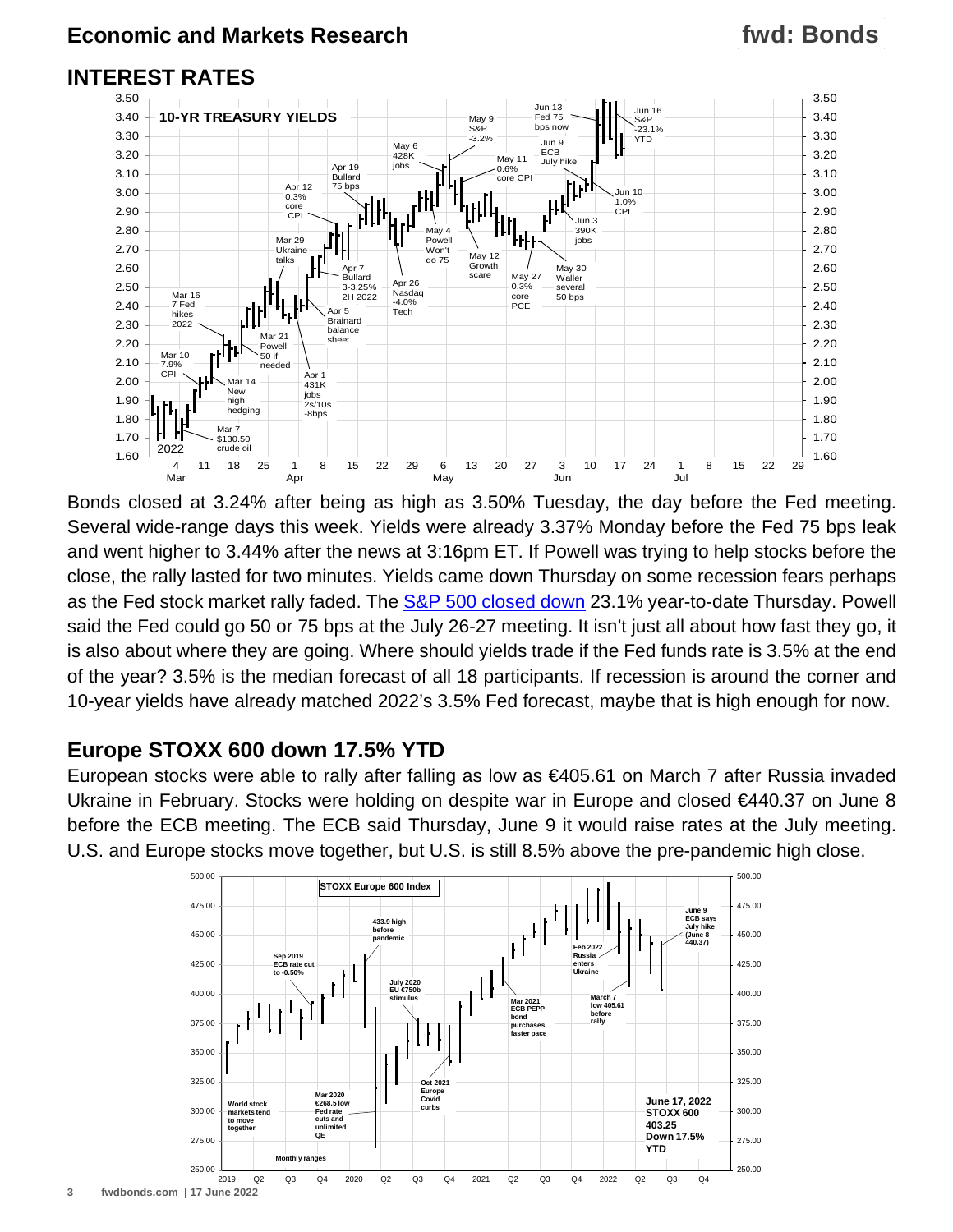#### **INTEREST RATES**



Bonds closed at 3.24% after being as high as 3.50% Tuesday, the day before the Fed meeting. Several wide-range days this week. Yields were already 3.37% Monday before the Fed 75 bps leak and went higher to 3.44% after the news at 3:16pm ET. If Powell was trying to help stocks before the close, the rally lasted for two minutes. Yields came down Thursday on some recession fears perhaps as the Fed stock market rally faded. The [S&P 500 closed down](https://www.fwdbonds.com/images/The_Stock_Show_.mp4) 23.1% year-to-date Thursday. Powell said the Fed could go 50 or 75 bps at the July 26-27 meeting. It isn't just all about how fast they go, it is also about where they are going. Where should yields trade if the Fed funds rate is 3.5% at the end of the year? 3.5% is the median forecast of all 18 participants. If recession is around the corner and 10-year yields have already matched 2022's 3.5% Fed forecast, maybe that is high enough for now.

#### **Europe STOXX 600 down 17.5% YTD**

European stocks were able to rally after falling as low as €405.61 on March 7 after Russia invaded Ukraine in February. Stocks were holding on despite war in Europe and closed €440.37 on June 8 before the ECB meeting. The ECB said Thursday, June 9 it would raise rates at the July meeting. U.S. and Europe stocks move together, but U.S. is still 8.5% above the pre-pandemic high close.

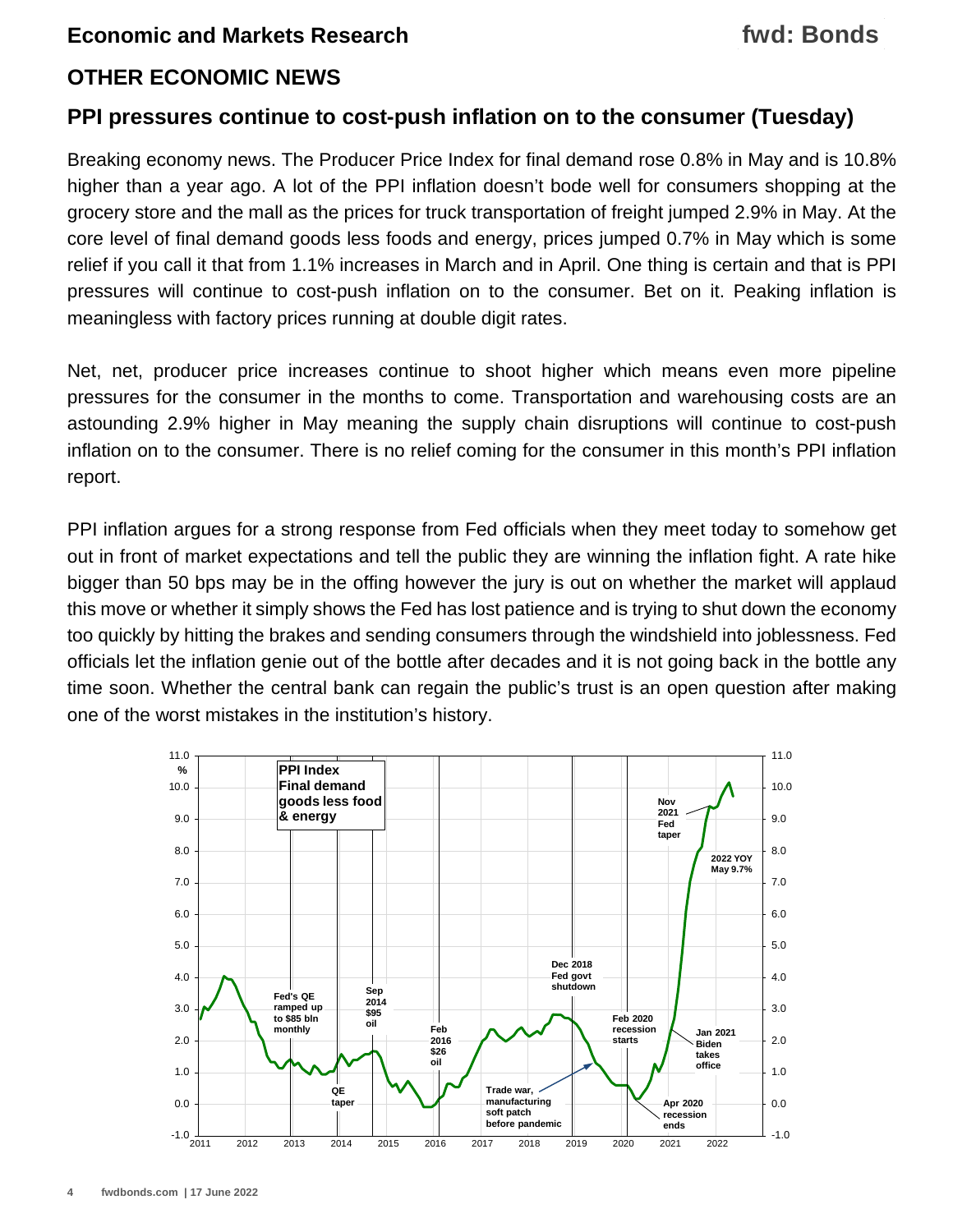#### **OTHER ECONOMIC NEWS**

#### **PPI pressures continue to cost-push inflation on to the consumer (Tuesday)**

Breaking economy news. The Producer Price Index for final demand rose 0.8% in May and is 10.8% higher than a year ago. A lot of the PPI inflation doesn't bode well for consumers shopping at the grocery store and the mall as the prices for truck transportation of freight jumped 2.9% in May. At the core level of final demand goods less foods and energy, prices jumped 0.7% in May which is some relief if you call it that from 1.1% increases in March and in April. One thing is certain and that is PPI pressures will continue to cost-push inflation on to the consumer. Bet on it. Peaking inflation is meaningless with factory prices running at double digit rates.

Net, net, producer price increases continue to shoot higher which means even more pipeline pressures for the consumer in the months to come. Transportation and warehousing costs are an astounding 2.9% higher in May meaning the supply chain disruptions will continue to cost-push inflation on to the consumer. There is no relief coming for the consumer in this month's PPI inflation report.

PPI inflation argues for a strong response from Fed officials when they meet today to somehow get out in front of market expectations and tell the public they are winning the inflation fight. A rate hike bigger than 50 bps may be in the offing however the jury is out on whether the market will applaud this move or whether it simply shows the Fed has lost patience and is trying to shut down the economy too quickly by hitting the brakes and sending consumers through the windshield into joblessness. Fed officials let the inflation genie out of the bottle after decades and it is not going back in the bottle any time soon. Whether the central bank can regain the public's trust is an open question after making one of the worst mistakes in the institution's history.

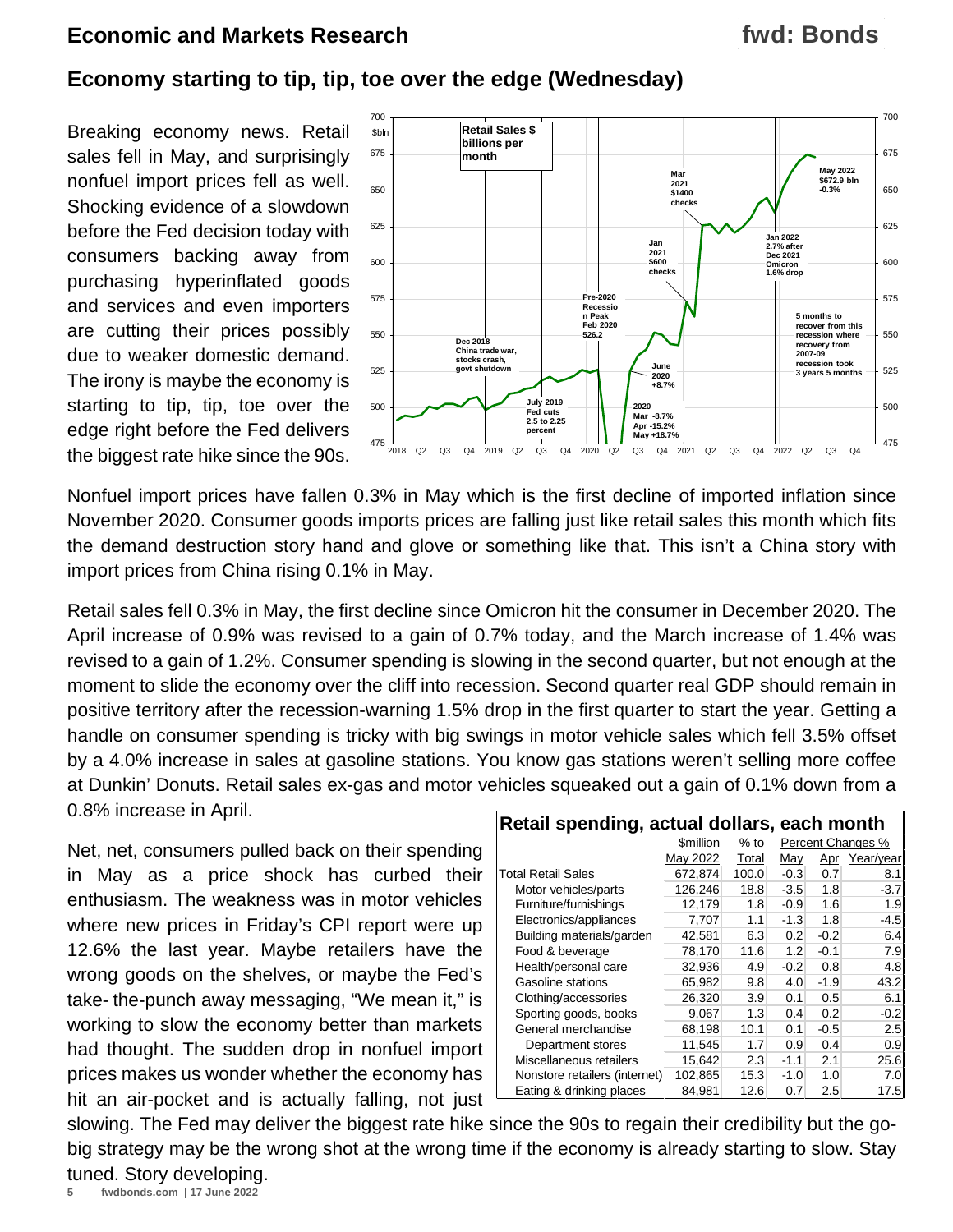#### **fwd: Bonds**

#### **Economy starting to tip, tip, toe over the edge (Wednesday)**

Breaking economy news. Retail sales fell in May, and surprisingly nonfuel import prices fell as well. Shocking evidence of a slowdown before the Fed decision today with consumers backing away from purchasing hyperinflated goods and services and even importers are cutting their prices possibly due to weaker domestic demand. The irony is maybe the economy is starting to tip, tip, toe over the edge right before the Fed delivers the biggest rate hike since the 90s.



Nonfuel import prices have fallen 0.3% in May which is the first decline of imported inflation since November 2020. Consumer goods imports prices are falling just like retail sales this month which fits the demand destruction story hand and glove or something like that. This isn't a China story with import prices from China rising 0.1% in May.

Retail sales fell 0.3% in May, the first decline since Omicron hit the consumer in December 2020. The April increase of 0.9% was revised to a gain of 0.7% today, and the March increase of 1.4% was revised to a gain of 1.2%. Consumer spending is slowing in the second quarter, but not enough at the moment to slide the economy over the cliff into recession. Second quarter real GDP should remain in positive territory after the recession-warning 1.5% drop in the first quarter to start the year. Getting a handle on consumer spending is tricky with big swings in motor vehicle sales which fell 3.5% offset by a 4.0% increase in sales at gasoline stations. You know gas stations weren't selling more coffee at Dunkin' Donuts. Retail sales ex-gas and motor vehicles squeaked out a gain of 0.1% down from a 0.8% increase in April.

Net, net, consumers pulled back on their spending in May as a price shock has curbed their enthusiasm. The weakness was in motor vehicles where new prices in Friday's CPI report were up 12.6% the last year. Maybe retailers have the wrong goods on the shelves, or maybe the Fed's take- the-punch away messaging, "We mean it," is working to slow the economy better than markets had thought. The sudden drop in nonfuel import prices makes us wonder whether the economy has hit an air-pocket and is actually falling, not just

| Retail spending, actual dollars, each month |                               |       |        |                   |           |  |  |  |
|---------------------------------------------|-------------------------------|-------|--------|-------------------|-----------|--|--|--|
|                                             | <b><i><u>Smillion</u></i></b> | % to  |        | Percent Changes % |           |  |  |  |
|                                             | May 2022                      | Total | Mav    | <u>Apr</u>        | Year/year |  |  |  |
| <b>Total Retail Sales</b>                   | 672,874                       | 100.0 | $-0.3$ | 0.7               | 8.1       |  |  |  |
| Motor vehicles/parts                        | 126,246                       | 18.8  | $-3.5$ | 1.8               | $-3.7$    |  |  |  |
| Furniture/furnishings                       | 12,179                        | 1.8   | $-0.9$ | 1.6               | 1.9       |  |  |  |
| Electronics/appliances                      | 7,707                         | 1.1   | $-1.3$ | 1.8               | -4.5      |  |  |  |
| Building materials/garden                   | 42,581                        | 6.3   | 0.2    | $-0.2$            | 6.4       |  |  |  |
| Food & beverage                             | 78,170                        | 11.6  | 1.2    | $-0.1$            | 7.9       |  |  |  |
| Health/personal care                        | 32,936                        | 4.9   | $-0.2$ | 0.8               | 4.8       |  |  |  |
| <b>Gasoline stations</b>                    | 65.982                        | 9.8   | 4.0    | $-1.9$            | 43.2      |  |  |  |
| Clothing/accessories                        | 26,320                        | 3.9   | 0.1    | 0.5               | 6.1       |  |  |  |
| Sporting goods, books                       | 9,067                         | 1.3   | 0.4    | 0.2               | $-0.2$    |  |  |  |
| General merchandise                         | 68,198                        | 10.1  | 0.1    | $-0.5$            | 2.5       |  |  |  |
| Department stores                           | 11,545                        | 1.7   | 0.9    | 0.4               | 0.9       |  |  |  |
| Miscellaneous retailers                     | 15,642                        | 2.3   | $-1.1$ | 2.1               | 25.6      |  |  |  |
| Nonstore retailers (internet)               | 102,865                       | 15.3  | $-1.0$ | 1.0               | 7.0       |  |  |  |
| Eating & drinking places                    | 84.981                        | 12.6  | 0.7    | 2.5               | 17.5      |  |  |  |

slowing. The Fed may deliver the biggest rate hike since the 90s to regain their credibility but the gobig strategy may be the wrong shot at the wrong time if the economy is already starting to slow. Stay tuned. Story developing.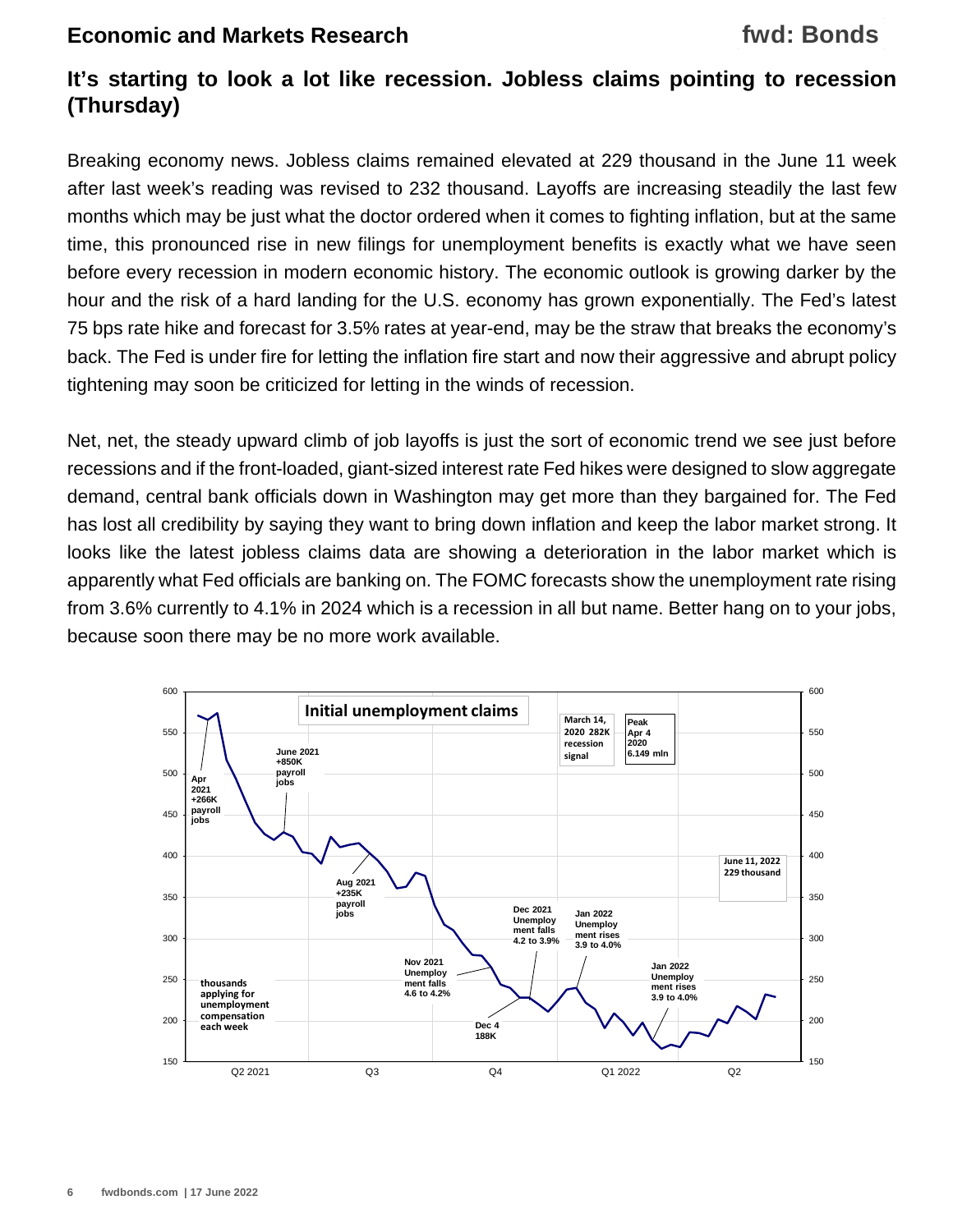## **It's starting to look a lot like recession. Jobless claims pointing to recession (Thursday)**

Breaking economy news. Jobless claims remained elevated at 229 thousand in the June 11 week after last week's reading was revised to 232 thousand. Layoffs are increasing steadily the last few months which may be just what the doctor ordered when it comes to fighting inflation, but at the same time, this pronounced rise in new filings for unemployment benefits is exactly what we have seen before every recession in modern economic history. The economic outlook is growing darker by the hour and the risk of a hard landing for the U.S. economy has grown exponentially. The Fed's latest 75 bps rate hike and forecast for 3.5% rates at year-end, may be the straw that breaks the economy's back. The Fed is under fire for letting the inflation fire start and now their aggressive and abrupt policy tightening may soon be criticized for letting in the winds of recession.

Net, net, the steady upward climb of job layoffs is just the sort of economic trend we see just before recessions and if the front-loaded, giant-sized interest rate Fed hikes were designed to slow aggregate demand, central bank officials down in Washington may get more than they bargained for. The Fed has lost all credibility by saying they want to bring down inflation and keep the labor market strong. It looks like the latest jobless claims data are showing a deterioration in the labor market which is apparently what Fed officials are banking on. The FOMC forecasts show the unemployment rate rising from 3.6% currently to 4.1% in 2024 which is a recession in all but name. Better hang on to your jobs, because soon there may be no more work available.

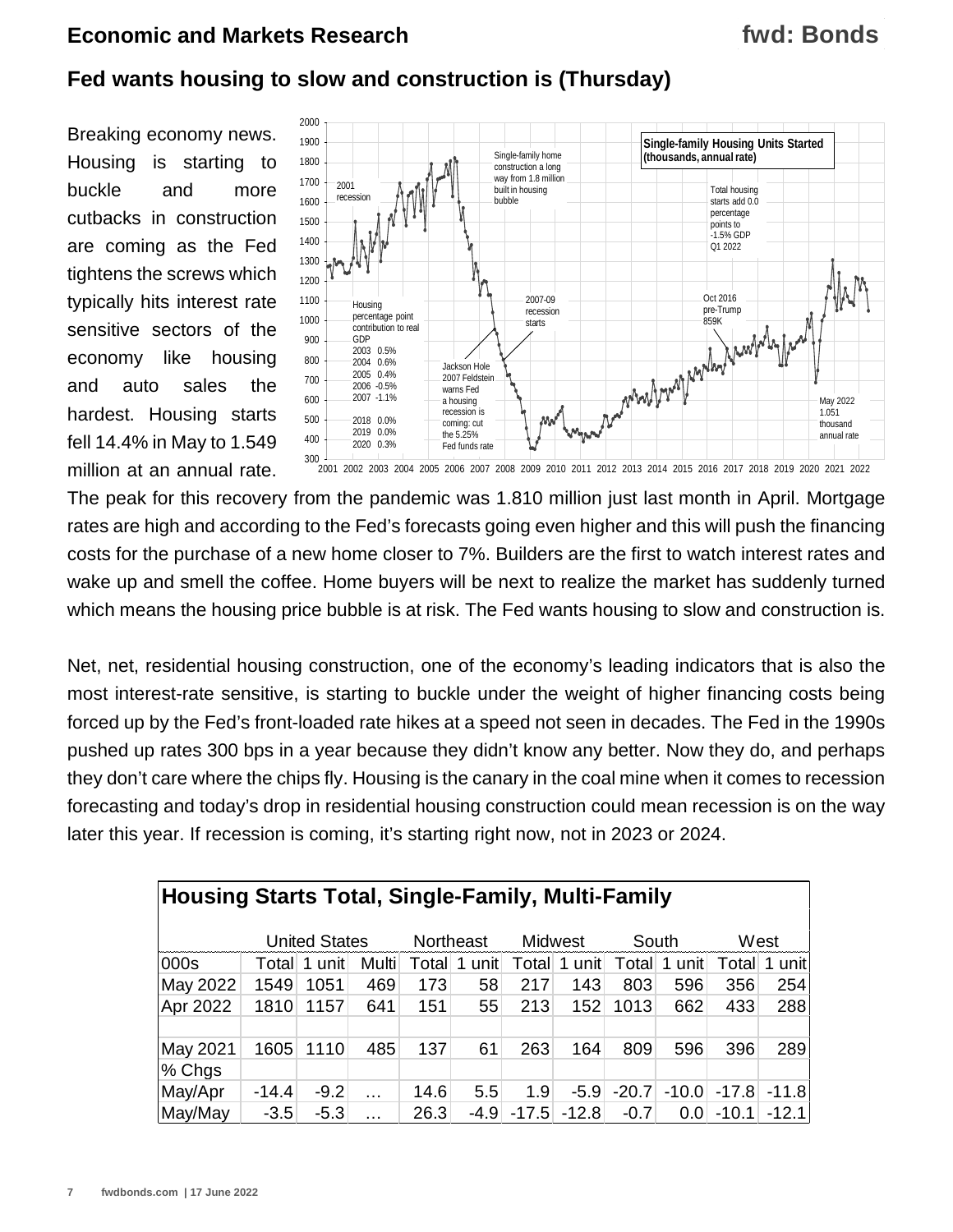## **fwd: Bonds**

### **Fed wants housing to slow and construction is (Thursday)**

Breaking economy news. Housing is starting to buckle and more cutbacks in construction are coming as the Fed tightens the screws which typically hits interest rate sensitive sectors of the economy like housing and auto sales the hardest. Housing starts fell 14.4% in May to 1.549 million at an annual rate.



The peak for this recovery from the pandemic was 1.810 million just last month in April. Mortgage rates are high and according to the Fed's forecasts going even higher and this will push the financing costs for the purchase of a new home closer to 7%. Builders are the first to watch interest rates and wake up and smell the coffee. Home buyers will be next to realize the market has suddenly turned which means the housing price bubble is at risk. The Fed wants housing to slow and construction is.

Net, net, residential housing construction, one of the economy's leading indicators that is also the most interest-rate sensitive, is starting to buckle under the weight of higher financing costs being forced up by the Fed's front-loaded rate hikes at a speed not seen in decades. The Fed in the 1990s pushed up rates 300 bps in a year because they didn't know any better. Now they do, and perhaps they don't care where the chips fly. Housing is the canary in the coal mine when it comes to recession forecasting and today's drop in residential housing construction could mean recession is on the way later this year. If recession is coming, it's starting right now, not in 2023 or 2024.

| <b>Housing Starts Total, Single-Family, Multi-Family</b> |         |                      |          |           |        |         |         |         |         |         |         |
|----------------------------------------------------------|---------|----------------------|----------|-----------|--------|---------|---------|---------|---------|---------|---------|
|                                                          |         | <b>United States</b> |          | Northeast |        |         | Midwest | South   |         |         | West    |
| 000s                                                     | Totall  | 1 unit               | Multi    | Totall    | unit   | Total   | 1 unit  | Total   | 1 unit  | Totall  | unitl   |
| May 2022                                                 | 1549    | 1051                 | 469      | 173       | 58     | 217     | 143     | 803     | 596     | 356     | 254     |
| Apr 2022                                                 | 1810    | 1157                 | 641      | 151       | 55     | 213     | 152     | 1013    | 662     | 433     | 288     |
| May 2021                                                 | 1605    | 1110                 | 485      | 137       | 61     | 263     | 164     | 809     | 596     | 396     | 289     |
| $%$ Chgs                                                 |         |                      |          |           |        |         |         |         |         |         |         |
| May/Apr                                                  | $-14.4$ | $-9.2$               |          | 14.6      | 5.5    | 1.9     | $-5.9$  | $-20.7$ | $-10.0$ | $-17.8$ | $-11.8$ |
| May/May                                                  | $-3.5$  | $-5.3$               | $\cdots$ | 26.3      | $-4.9$ | $-17.5$ | $-12.8$ | $-0.7$  | 0.0     | $-10.1$ | $-12.1$ |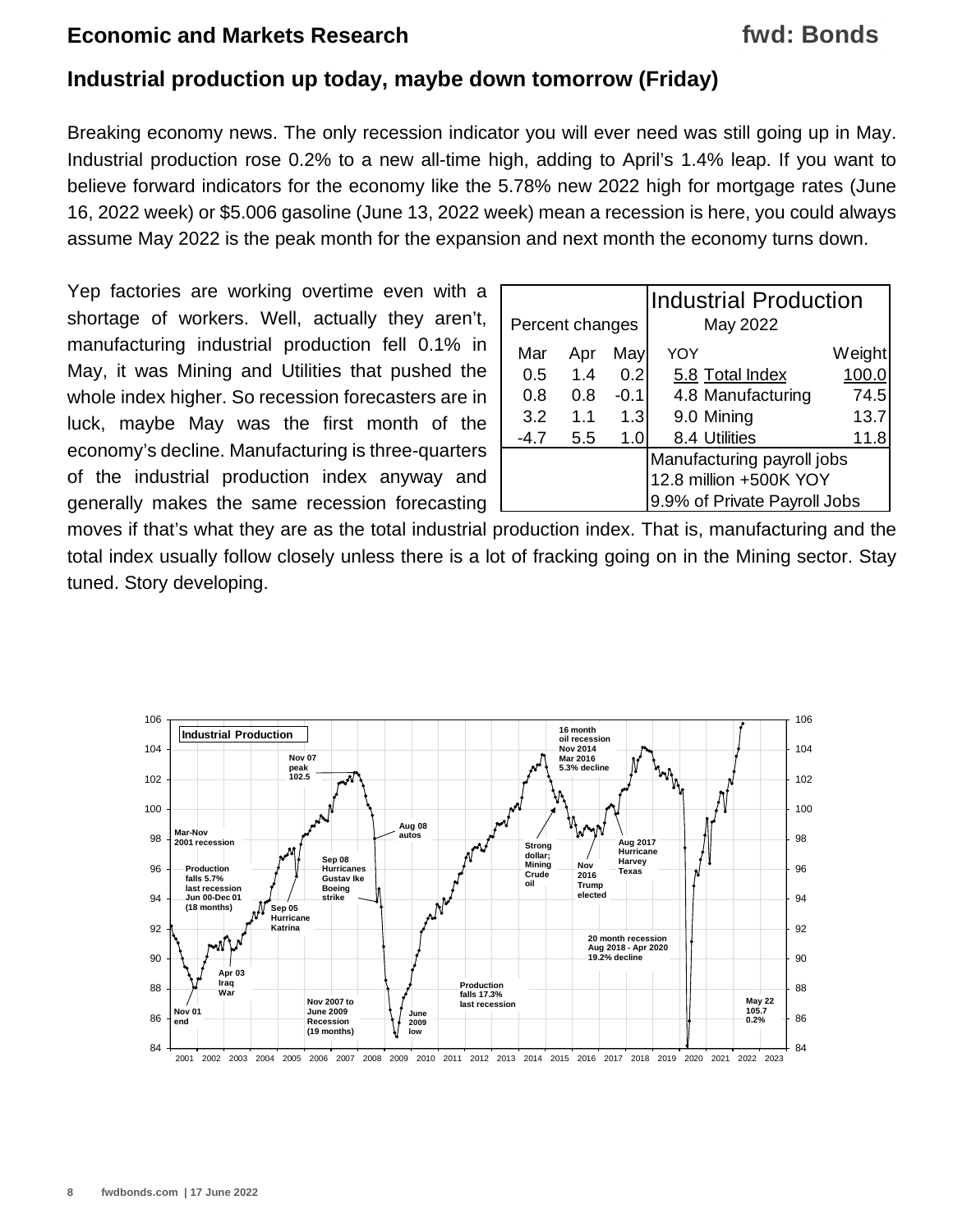#### **Industrial production up today, maybe down tomorrow (Friday)**

Breaking economy news. The only recession indicator you will ever need was still going up in May. Industrial production rose 0.2% to a new all-time high, adding to April's 1.4% leap. If you want to believe forward indicators for the economy like the 5.78% new 2022 high for mortgage rates (June 16, 2022 week) or \$5.006 gasoline (June 13, 2022 week) mean a recession is here, you could always assume May 2022 is the peak month for the expansion and next month the economy turns down.

Yep factories are working overtime even with a shortage of workers. Well, actually they aren't, manufacturing industrial production fell 0.1% in May, it was Mining and Utilities that pushed the whole index higher. So recession forecasters are in luck, maybe May was the first month of the economy's decline. Manufacturing is three-quarters of the industrial production index anyway and generally makes the same recession forecasting

|                 |     |        | <b>Industrial Production</b> |        |  |  |
|-----------------|-----|--------|------------------------------|--------|--|--|
| Percent changes |     |        | May 2022                     |        |  |  |
| Mar             | Apr | May    | YOY                          | Weight |  |  |
| 0.5             | 1.4 | 0.2    | 5.8 Total Index              | 100.0  |  |  |
| 0.8             | 0.8 | $-0.1$ | 4.8 Manufacturing            | 74.5   |  |  |
| 3.2             | 1.1 | 1.3    | 9.0 Mining                   | 13.7   |  |  |
| $-4.7$          | 5.5 | 1.0    | 8.4 Utilities                | 11.8   |  |  |
|                 |     |        | Manufacturing payroll jobs   |        |  |  |
|                 |     |        | 12.8 million +500K YOY       |        |  |  |
|                 |     |        | 9.9% of Private Payroll Jobs |        |  |  |

moves if that's what they are as the total industrial production index. That is, manufacturing and the total index usually follow closely unless there is a lot of fracking going on in the Mining sector. Stay tuned. Story developing.